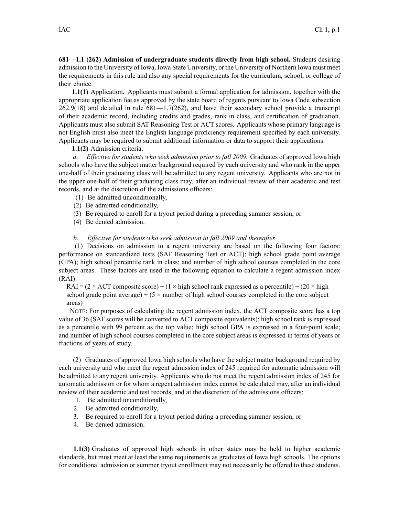**681—1.1 (262) Admission of undergraduate students directly from high school.** Students desiring admission to the University of Iowa, Iowa State University, or the University of Northern Iowa must meet the requirements in this rule and also any special requirements for the curriculum, school, or college of their choice.

**1.1(1)** Application. Applicants must submit <sup>a</sup> formal application for admission, together with the appropriate application fee as approved by the state board of regents pursuan<sup>t</sup> to Iowa Code subsection  $262.9(18)$  and detailed in rule  $681-1.7(262)$ , and have their secondary school provide a transcript of their academic record, including credits and grades, rank in class, and certification of graduation. Applicants must also submit SAT Reasoning Test or ACT scores. Applicants whose primary language is not English must also meet the English language proficiency requirement specified by each university. Applicants may be required to submit additional information or data to suppor<sup>t</sup> their applications.

## **1.1(2)** Admission criteria.

*a. Effective for students who seek admission prior to fall 2009.* Graduates of approved Iowa high schools who have the subject matter background required by each university and who rank in the upper one-half of their graduating class will be admitted to any regen<sup>t</sup> university. Applicants who are not in the upper one-half of their graduating class may, after an individual review of their academic and test records, and at the discretion of the admissions officers:

- (1) Be admitted unconditionally,
- (2) Be admitted conditionally,
- (3) Be required to enroll for <sup>a</sup> tryout period during <sup>a</sup> preceding summer session, or
- (4) Be denied admission.

## *b. Effective for students who seek admission in fall 2009 and thereafter.*

(1) Decisions on admission to <sup>a</sup> regen<sup>t</sup> university are based on the following four factors: performance on standardized tests (SAT Reasoning Test or ACT); high school grade point average (GPA); high school percentile rank in class; and number of high school courses completed in the core subject areas. These factors are used in the following equation to calculate <sup>a</sup> regen<sup>t</sup> admission index (RAI):

 $RAI = (2 \times ACT$  composite score) + (1  $\times$  high school rank expressed as a percentile) + (20  $\times$  high school grade point average) +  $(5 \times$  number of high school courses completed in the core subject areas)

NOTE: For purposes of calculating the regen<sup>t</sup> admission index, the ACT composite score has <sup>a</sup> top value of 36 (SAT scores will be converted to ACT composite equivalents); high school rank is expressed as <sup>a</sup> percentile with 99 percen<sup>t</sup> as the top value; high school GPA is expressed in <sup>a</sup> four-point scale; and number of high school courses completed in the core subject areas is expressed in terms of years or fractions of years of study.

(2) Graduates of approved Iowa high schools who have the subject matter background required by each university and who meet the regen<sup>t</sup> admission index of 245 required for automatic admission will be admitted to any regen<sup>t</sup> university. Applicants who do not meet the regen<sup>t</sup> admission index of 245 for automatic admission or for whom <sup>a</sup> regen<sup>t</sup> admission index cannot be calculated may, after an individual review of their academic and test records, and at the discretion of the admissions officers:

- 1. Be admitted unconditionally,
- 2. Be admitted conditionally,
- 3. Be required to enroll for <sup>a</sup> tryout period during <sup>a</sup> preceding summer session, or
- 4. Be denied admission.

**1.1(3)** Graduates of approved high schools in other states may be held to higher academic standards, but must meet at least the same requirements as graduates of Iowa high schools. The options for conditional admission or summer tryout enrollment may not necessarily be offered to these students.